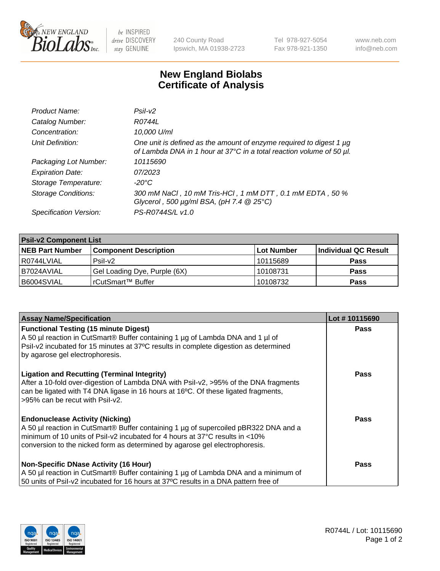

 $be$  INSPIRED drive DISCOVERY stay GENUINE

240 County Road Ipswich, MA 01938-2723 Tel 978-927-5054 Fax 978-921-1350 www.neb.com info@neb.com

## **New England Biolabs Certificate of Analysis**

| Product Name:              | Psi2                                                                                                                                        |
|----------------------------|---------------------------------------------------------------------------------------------------------------------------------------------|
| Catalog Number:            | R0744L                                                                                                                                      |
| Concentration:             | 10,000 U/ml                                                                                                                                 |
| Unit Definition:           | One unit is defined as the amount of enzyme required to digest 1 µg<br>of Lambda DNA in 1 hour at 37°C in a total reaction volume of 50 µl. |
| Packaging Lot Number:      | 10115690                                                                                                                                    |
| <b>Expiration Date:</b>    | 07/2023                                                                                                                                     |
| Storage Temperature:       | $-20^{\circ}$ C                                                                                                                             |
| <b>Storage Conditions:</b> | 300 mM NaCl, 10 mM Tris-HCl, 1 mM DTT, 0.1 mM EDTA, 50 %<br>Glycerol, 500 $\mu$ g/ml BSA, (pH 7.4 $@25°C$ )                                 |
| Specification Version:     | PS-R0744S/L v1.0                                                                                                                            |

| <b>Psil-v2 Component List</b> |                              |                   |                      |  |  |
|-------------------------------|------------------------------|-------------------|----------------------|--|--|
| <b>NEB Part Number</b>        | <b>Component Description</b> | <b>Lot Number</b> | Individual QC Result |  |  |
| l R0744LVIAL                  | $P$ sil-v $2$                | 10115689          | <b>Pass</b>          |  |  |
| I B7024AVIAL                  | Gel Loading Dye, Purple (6X) | 10108731          | <b>Pass</b>          |  |  |
| B6004SVIAL                    | rCutSmart™ Buffer            | 10108732          | <b>Pass</b>          |  |  |

| <b>Assay Name/Specification</b>                                                                                                                                                                                                                                                               | Lot #10115690 |
|-----------------------------------------------------------------------------------------------------------------------------------------------------------------------------------------------------------------------------------------------------------------------------------------------|---------------|
| <b>Functional Testing (15 minute Digest)</b><br>A 50 µl reaction in CutSmart® Buffer containing 1 µg of Lambda DNA and 1 µl of<br>Psil-v2 incubated for 15 minutes at 37°C results in complete digestion as determined<br>by agarose gel electrophoresis.                                     | <b>Pass</b>   |
| <b>Ligation and Recutting (Terminal Integrity)</b><br>After a 10-fold over-digestion of Lambda DNA with Psil-v2, >95% of the DNA fragments<br>can be ligated with T4 DNA ligase in 16 hours at 16 $\degree$ C. Of these ligated fragments,<br>l >95% can be recut with Psil-v2.               | Pass          |
| <b>Endonuclease Activity (Nicking)</b><br>A 50 µl reaction in CutSmart® Buffer containing 1 µg of supercoiled pBR322 DNA and a<br>minimum of 10 units of Psil-v2 incubated for 4 hours at 37°C results in <10%<br>conversion to the nicked form as determined by agarose gel electrophoresis. | Pass          |
| <b>Non-Specific DNase Activity (16 Hour)</b><br>A 50 µl reaction in CutSmart® Buffer containing 1 µg of Lambda DNA and a minimum of<br>50 units of Psil-v2 incubated for 16 hours at 37°C results in a DNA pattern free of                                                                    | <b>Pass</b>   |